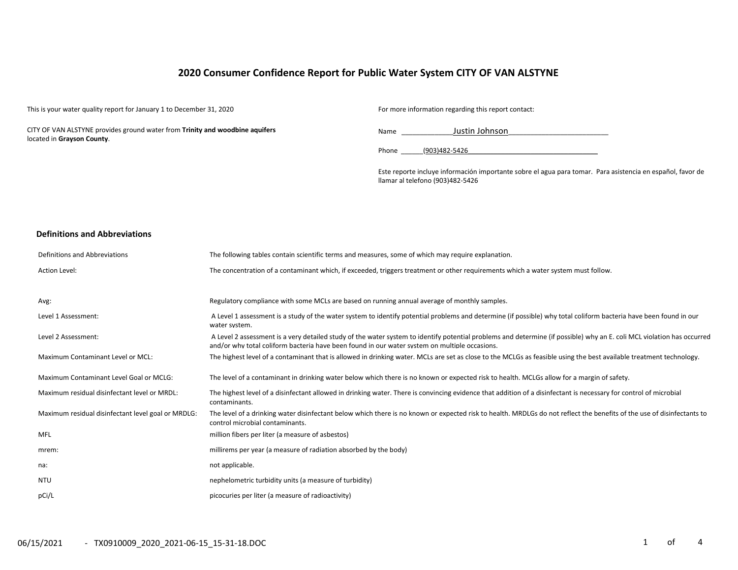## **2020 Consumer Confidence Report for Public Water System CITY OF VAN ALSTYNE**

This is your water quality report for January 1 to December 31, 2020 For more information regarding this report contact:

CITY OF VAN ALSTYNE provides ground water from **Trinity and woodbine aquifers** located in **Grayson County**.

Name \_\_\_\_\_\_\_\_\_\_\_\_\_\_Justin Johnson\_\_\_\_\_\_\_\_\_\_\_\_\_\_\_\_\_\_\_\_\_\_\_\_\_\_\_

Phone (903)482-5426

Este reporte incluye información importante sobre el agua para tomar. Para asistencia en español, favor de llamar al telefono (903)482-5426

#### **Definitions and Abbreviations**

| Definitions and Abbreviations                      | The following tables contain scientific terms and measures, some of which may require explanation.                                                                                                                                                                      |
|----------------------------------------------------|-------------------------------------------------------------------------------------------------------------------------------------------------------------------------------------------------------------------------------------------------------------------------|
| Action Level:                                      | The concentration of a contaminant which, if exceeded, triggers treatment or other requirements which a water system must follow.                                                                                                                                       |
|                                                    |                                                                                                                                                                                                                                                                         |
| Avg:                                               | Regulatory compliance with some MCLs are based on running annual average of monthly samples.                                                                                                                                                                            |
| Level 1 Assessment:                                | A Level 1 assessment is a study of the water system to identify potential problems and determine (if possible) why total coliform bacteria have been found in our<br>water system.                                                                                      |
| Level 2 Assessment:                                | A Level 2 assessment is a very detailed study of the water system to identify potential problems and determine (if possible) why an E. coli MCL violation has occurred<br>and/or why total coliform bacteria have been found in our water system on multiple occasions. |
| Maximum Contaminant Level or MCL:                  | The highest level of a contaminant that is allowed in drinking water. MCLs are set as close to the MCLGs as feasible using the best available treatment technology.                                                                                                     |
| Maximum Contaminant Level Goal or MCLG:            | The level of a contaminant in drinking water below which there is no known or expected risk to health. MCLGs allow for a margin of safety.                                                                                                                              |
| Maximum residual disinfectant level or MRDL:       | The highest level of a disinfectant allowed in drinking water. There is convincing evidence that addition of a disinfectant is necessary for control of microbial<br>contaminants.                                                                                      |
| Maximum residual disinfectant level goal or MRDLG: | The level of a drinking water disinfectant below which there is no known or expected risk to health. MRDLGs do not reflect the benefits of the use of disinfectants to<br>control microbial contaminants.                                                               |
| MFL                                                | million fibers per liter (a measure of asbestos)                                                                                                                                                                                                                        |
| mrem:                                              | millirems per year (a measure of radiation absorbed by the body)                                                                                                                                                                                                        |
| na:                                                | not applicable.                                                                                                                                                                                                                                                         |
| NTU                                                | nephelometric turbidity units (a measure of turbidity)                                                                                                                                                                                                                  |
| pCi/L                                              | picocuries per liter (a measure of radioactivity)                                                                                                                                                                                                                       |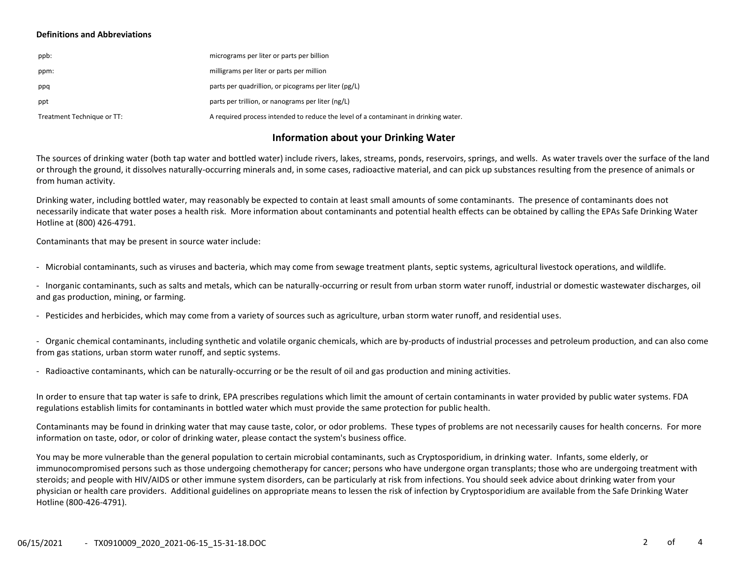#### **Definitions and Abbreviations**

| ppb:                       | micrograms per liter or parts per billion                                           |
|----------------------------|-------------------------------------------------------------------------------------|
| ppm:                       | milligrams per liter or parts per million                                           |
| ppq                        | parts per quadrillion, or picograms per liter (pg/L)                                |
| ppt                        | parts per trillion, or nanograms per liter (ng/L)                                   |
| Treatment Technique or TT: | A required process intended to reduce the level of a contaminant in drinking water. |

### **Information about your Drinking Water**

The sources of drinking water (both tap water and bottled water) include rivers, lakes, streams, ponds, reservoirs, springs, and wells. As water travels over the surface of the land or through the ground, it dissolves naturally-occurring minerals and, in some cases, radioactive material, and can pick up substances resulting from the presence of animals or from human activity.

Drinking water, including bottled water, may reasonably be expected to contain at least small amounts of some contaminants. The presence of contaminants does not necessarily indicate that water poses a health risk. More information about contaminants and potential health effects can be obtained by calling the EPAs Safe Drinking Water Hotline at (800) 426-4791.

Contaminants that may be present in source water include:

- Microbial contaminants, such as viruses and bacteria, which may come from sewage treatment plants, septic systems, agricultural livestock operations, and wildlife.

- Inorganic contaminants, such as salts and metals, which can be naturally-occurring or result from urban storm water runoff, industrial or domestic wastewater discharges, oil and gas production, mining, or farming.

- Pesticides and herbicides, which may come from a variety of sources such as agriculture, urban storm water runoff, and residential uses.

- Organic chemical contaminants, including synthetic and volatile organic chemicals, which are by-products of industrial processes and petroleum production, and can also come from gas stations, urban storm water runoff, and septic systems.

- Radioactive contaminants, which can be naturally-occurring or be the result of oil and gas production and mining activities.

In order to ensure that tap water is safe to drink, EPA prescribes regulations which limit the amount of certain contaminants in water provided by public water systems. FDA regulations establish limits for contaminants in bottled water which must provide the same protection for public health.

Contaminants may be found in drinking water that may cause taste, color, or odor problems. These types of problems are not necessarily causes for health concerns. For more information on taste, odor, or color of drinking water, please contact the system's business office.

You may be more vulnerable than the general population to certain microbial contaminants, such as Cryptosporidium, in drinking water. Infants, some elderly, or immunocompromised persons such as those undergoing chemotherapy for cancer; persons who have undergone organ transplants; those who are undergoing treatment with steroids; and people with HIV/AIDS or other immune system disorders, can be particularly at risk from infections. You should seek advice about drinking water from your physician or health care providers. Additional guidelines on appropriate means to lessen the risk of infection by Cryptosporidium are available from the Safe Drinking Water Hotline (800-426-4791).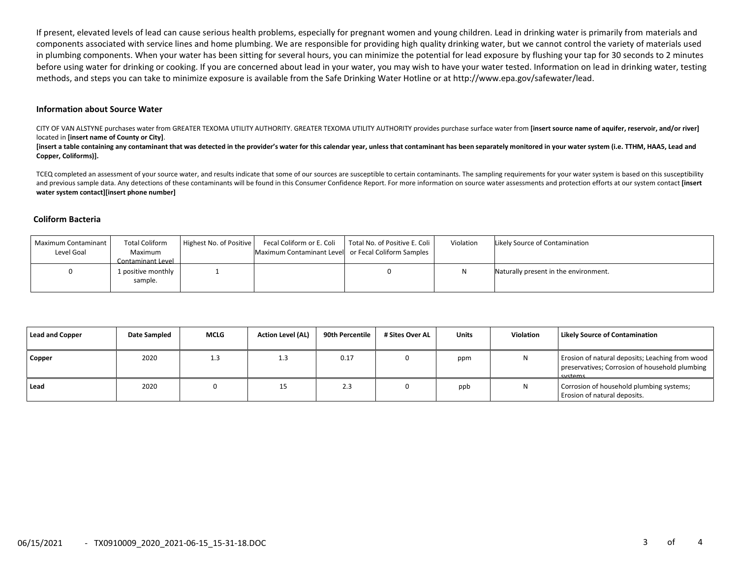If present, elevated levels of lead can cause serious health problems, especially for pregnant women and young children. Lead in drinking water is primarily from materials and components associated with service lines and home plumbing. We are responsible for providing high quality drinking water, but we cannot control the variety of materials used in plumbing components. When your water has been sitting for several hours, you can minimize the potential for lead exposure by flushing your tap for 30 seconds to 2 minutes before using water for drinking or cooking. If you are concerned about lead in your water, you may wish to have your water tested. Information on lead in drinking water, testing methods, and steps you can take to minimize exposure is available from the Safe Drinking Water Hotline or at http://www.epa.gov/safewater/lead.

#### **Information about Source Water**

CITY OF VAN ALSTYNE purchases water from GREATER TEXOMA UTILITY AUTHORITY. GREATER TEXOMA UTILITY AUTHORITY provides purchase surface water from **[insert source name of aquifer, reservoir, and/or river]** located in **[insert name of County or City]**.

[insert a table containing any contaminant that was detected in the provider's water for this calendar year, unless that contaminant has been separately monitored in your water system (i.e. TTHM, HAA5, Lead and **Copper, Coliforms)].**

TCEQ completed an assessment of your source water, and results indicate that some of our sources are susceptible to certain contaminants. The sampling requirements for your water system is based on this susceptibility and previous sample data. Any detections of these contaminants will be found in this Consumer Confidence Report. For more information on source water assessments and protection efforts at our system contact **[insert water system contact][insert phone number]**

#### **Coliform Bacteria**

| Maximum Contaminant<br>Level Goal | <b>Total Coliform</b><br>Maximum<br>Contaminant Level | Highest No. of Positive | Fecal Coliform or E. Coli<br>Maximum Contaminant Level or Fecal Coliform Samples | Total No. of Positive E. Coli | Violation | Likely Source of Contamination        |
|-----------------------------------|-------------------------------------------------------|-------------------------|----------------------------------------------------------------------------------|-------------------------------|-----------|---------------------------------------|
| 0                                 | 1 positive monthly<br>sample.                         |                         |                                                                                  |                               |           | Naturally present in the environment. |

| <b>Lead and Copper</b> | Date Sampled | <b>MCLG</b> | <b>Action Level (AL)</b> | 90th Percentile | # Sites Over AL | <b>Units</b> | <b>Violation</b> | Likely Source of Contamination                                                                               |
|------------------------|--------------|-------------|--------------------------|-----------------|-----------------|--------------|------------------|--------------------------------------------------------------------------------------------------------------|
| Copper                 | 2020         | 1.3         | 1.3                      | 0.17            |                 | ppm          | N                | Erosion of natural deposits; Leaching from wood<br>preservatives; Corrosion of household plumbing<br>systems |
| Lead                   | 2020         |             | 15                       | 2.3             |                 | ppb          | N                | Corrosion of household plumbing systems;<br>Erosion of natural deposits.                                     |